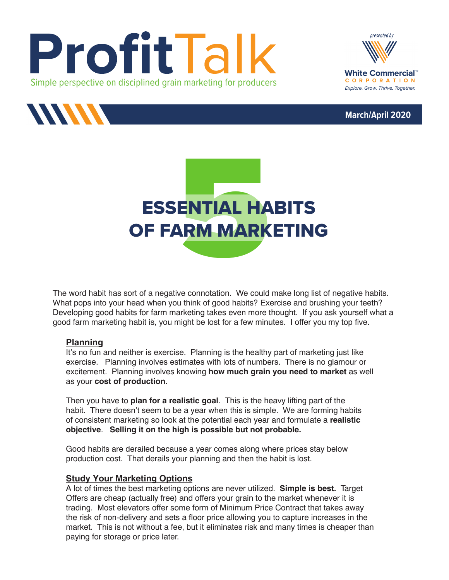









The word habit has sort of a negative connotation. We could make long list of negative habits. What pops into your head when you think of good habits? Exercise and brushing your teeth? Developing good habits for farm marketing takes even more thought. If you ask yourself what a good farm marketing habit is, you might be lost for a few minutes. I offer you my top five.

#### **Planning**

It's no fun and neither is exercise. Planning is the healthy part of marketing just like exercise. Planning involves estimates with lots of numbers. There is no glamour or excitement. Planning involves knowing **how much grain you need to market** as well as your **cost of production**.

Then you have to **plan for a realistic goal**. This is the heavy lifting part of the habit. There doesn't seem to be a year when this is simple. We are forming habits of consistent marketing so look at the potential each year and formulate a **realistic objective**. **Selling it on the high is possible but not probable.**

Good habits are derailed because a year comes along where prices stay below production cost. That derails your planning and then the habit is lost.

# **Study Your Marketing Options**

A lot of times the best marketing options are never utilized. **Simple is best.** Target Offers are cheap (actually free) and offers your grain to the market whenever it is trading. Most elevators offer some form of Minimum Price Contract that takes away the risk of non-delivery and sets a floor price allowing you to capture increases in the market. This is not without a fee, but it eliminates risk and many times is cheaper than paying for storage or price later.